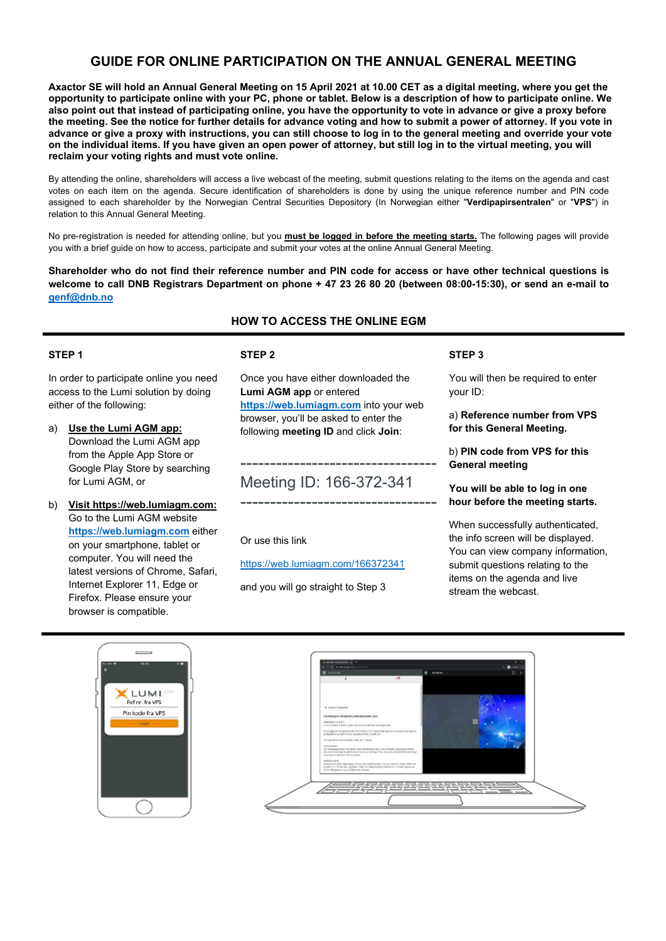# **GUIDE FOR ONLINE PARTICIPATION ON THE ANNUAL GENERAL MEETING**

**Axactor SE will hold an Annual General Meeting on 15 April 2021 at 10.00 CET as a digital meeting, where you get the opportunity to participate online with your PC, phone or tablet. Below is a description of how to participate online. We also point out that instead of participating online, you have the opportunity to vote in advance or give a proxy before the meeting. See the notice for further details for advance voting and how to submit a power of attorney. If you vote in advance or give a proxy with instructions, you can still choose to log in to the general meeting and override your vote on the individual items. If you have given an open power of attorney, but still log in to the virtual meeting, you will reclaim your voting rights and must vote online.** 

By attending the online, shareholders will access a live webcast of the meeting, submit questions relating to the items on the agenda and cast votes on each item on the agenda. Secure identification of shareholders is done by using the unique reference number and PIN code assigned to each shareholder by the Norwegian Central Securities Depository (In Norwegian either "**Verdipapirsentralen**" or "**VPS**") in relation to this Annual General Meeting.

No pre-registration is needed for attending online, but you **must be logged in before the meeting starts.** The following pages will provide you with a brief guide on how to access, participate and submit your votes at the online Annual General Meeting.

**Shareholder who do not find their reference number and PIN code for access or have other technical questions is welcome to call DNB Registrars Department on phone + 47 23 26 80 20 (between 08:00-15:30), or send an e-mail to genf@dnb.no**

# **HOW TO ACCESS THE ONLINE EGM**

#### **STEP 1**

In order to participate online you need access to the Lumi solution by doing either of the following:

- a) **Use the Lumi AGM app:** Download the Lumi AGM app from the Apple App Store or Google Play Store by searching for Lumi AGM, or
- b) **Visit https://web.lumiagm.com:** Go to the Lumi AGM website **https://web.lumiagm.com** either on your smartphone, tablet or computer. You will need the latest versions of Chrome, Safari, Internet Explorer 11, Edge or Firefox. Please ensure your browser is compatible.

## **STEP 2**

Once you have either downloaded the **Lumi AGM app** or entered **https://web.lumiagm.com** into your web browser, you'll be asked to enter the following **meeting ID** and click **Join**:

# --------------------------------- Meeting ID: 166-372-341

---------------------------------

Or use this link

https://web.lumiagm.com/166372341

and you will go straight to Step 3

#### **STEP 3**

You will then be required to enter your ID:

a) **Reference number from VPS for this General Meeting.** 

b) **PIN code from VPS for this General meeting**

**You will be able to log in one hour before the meeting starts.** 

When successfully authenticated, the info screen will be displayed. You can view company information, submit questions relating to the items on the agenda and live stream the webcast.